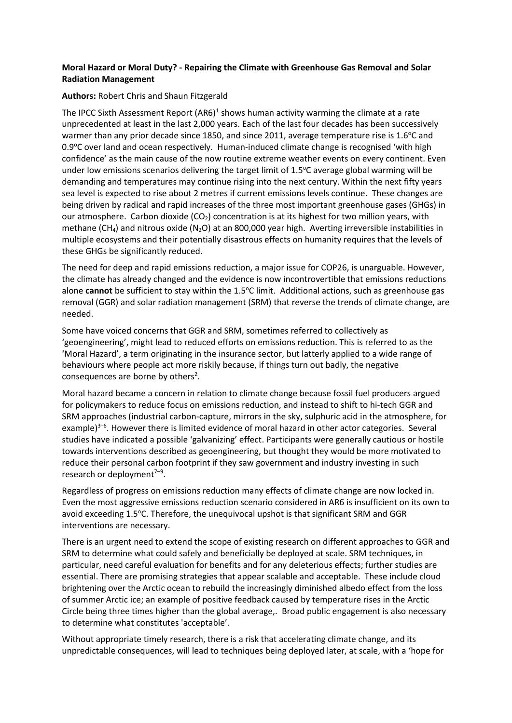## **Moral Hazard or Moral Duty? - Repairing the Climate with Greenhouse Gas Removal and Solar Radiation Management**

## **Authors:** Robert Chris and Shaun Fitzgerald

The IPCC Sixth Assessment Report (AR6)<sup>1</sup> shows human activity warming the climate at a rate unprecedented at least in the last 2,000 years. Each of the last four decades has been successively warmer than any prior decade since 1850, and since 2011, average temperature rise is 1.6°C and 0.9°C over land and ocean respectively. Human-induced climate change is recognised 'with high confidence' as the main cause of the now routine extreme weather events on every continent. Even under low emissions scenarios delivering the target limit of  $1.5^{\circ}$ C average global warming will be demanding and temperatures may continue rising into the next century. Within the next fifty years sea level is expected to rise about 2 metres if current emissions levels continue. These changes are being driven by radical and rapid increases of the three most important greenhouse gases (GHGs) in our atmosphere. Carbon dioxide  $(CO_2)$  concentration is at its highest for two million years, with methane (CH<sub>4</sub>) and nitrous oxide (N<sub>2</sub>O) at an 800,000 year high. Averting irreversible instabilities in multiple ecosystems and their potentially disastrous effects on humanity requires that the levels of these GHGs be significantly reduced.

The need for deep and rapid emissions reduction, a major issue for COP26, is unarguable. However, the climate has already changed and the evidence is now incontrovertible that emissions reductions alone **cannot** be sufficient to stay within the 1.5<sup>o</sup>C limit. Additional actions, such as greenhouse gas removal (GGR) and solar radiation management (SRM) that reverse the trends of climate change, are needed.

Some have voiced concerns that GGR and SRM, sometimes referred to collectively as 'geoengineering', might lead to reduced efforts on emissions reduction. This is referred to as the 'Moral Hazard', a term originating in the insurance sector, but latterly applied to a wide range of behaviours where people act more riskily because, if things turn out badly, the negative consequences are borne by others<sup>2</sup>.

Moral hazard became a concern in relation to climate change because fossil fuel producers argued for policymakers to reduce focus on emissions reduction, and instead to shift to hi-tech GGR and SRM approaches (industrial carbon-capture, mirrors in the sky, sulphuric acid in the atmosphere, for example)<sup>3-6</sup>. However there is limited evidence of moral hazard in other actor categories. Several studies have indicated a possible 'galvanizing' effect. Participants were generally cautious or hostile towards interventions described as geoengineering, but thought they would be more motivated to reduce their personal carbon footprint if they saw government and industry investing in such research or deployment<sup>7-9</sup>.

Regardless of progress on emissions reduction many effects of climate change are now locked in. Even the most aggressive emissions reduction scenario considered in AR6 is insufficient on its own to avoid exceeding 1.5°C. Therefore, the unequivocal upshot is that significant SRM and GGR interventions are necessary.

There is an urgent need to extend the scope of existing research on different approaches to GGR and SRM to determine what could safely and beneficially be deployed at scale. SRM techniques, in particular, need careful evaluation for benefits and for any deleterious effects; further studies are essential. There are promising strategies that appear scalable and acceptable. These include cloud brightening over the Arctic ocean to rebuild the increasingly diminished albedo effect from the loss of summer Arctic ice; an example of positive feedback caused by temperature rises in the Arctic Circle being three times higher than the global average,. Broad public engagement is also necessary to determine what constitutes 'acceptable'.

Without appropriate timely research, there is a risk that accelerating climate change, and its unpredictable consequences, will lead to techniques being deployed later, at scale, with a 'hope for